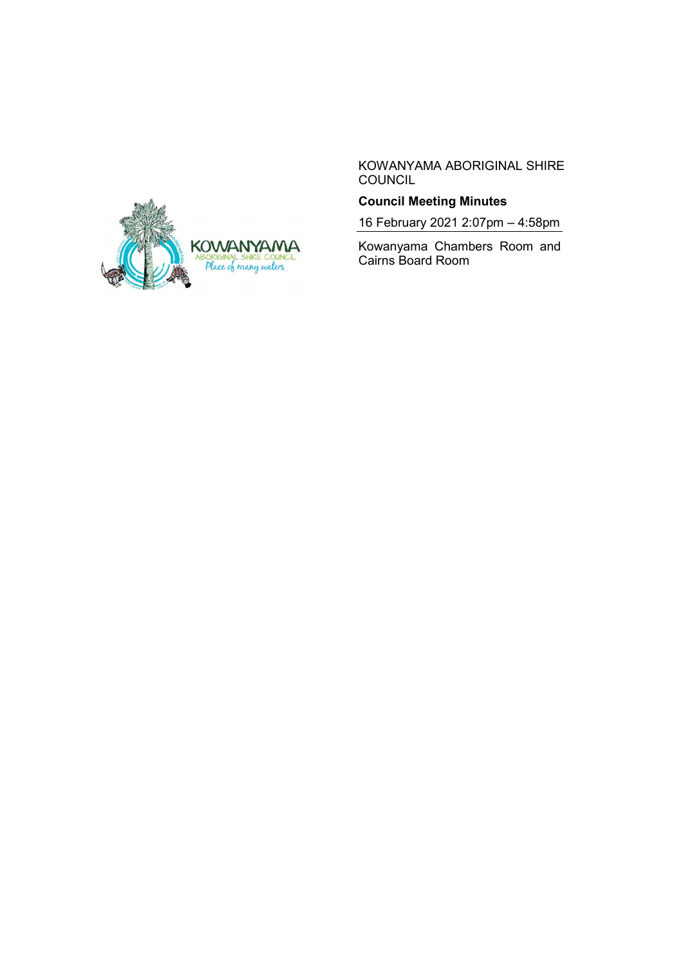

KOWANYAMA ABORIGINAL SHIRE **COUNCIL** 

# **Council Meeting Minutes**

16 February 2021 2:07pm – 4:58pm

Kowanyama Chambers Room and Cairns Board Room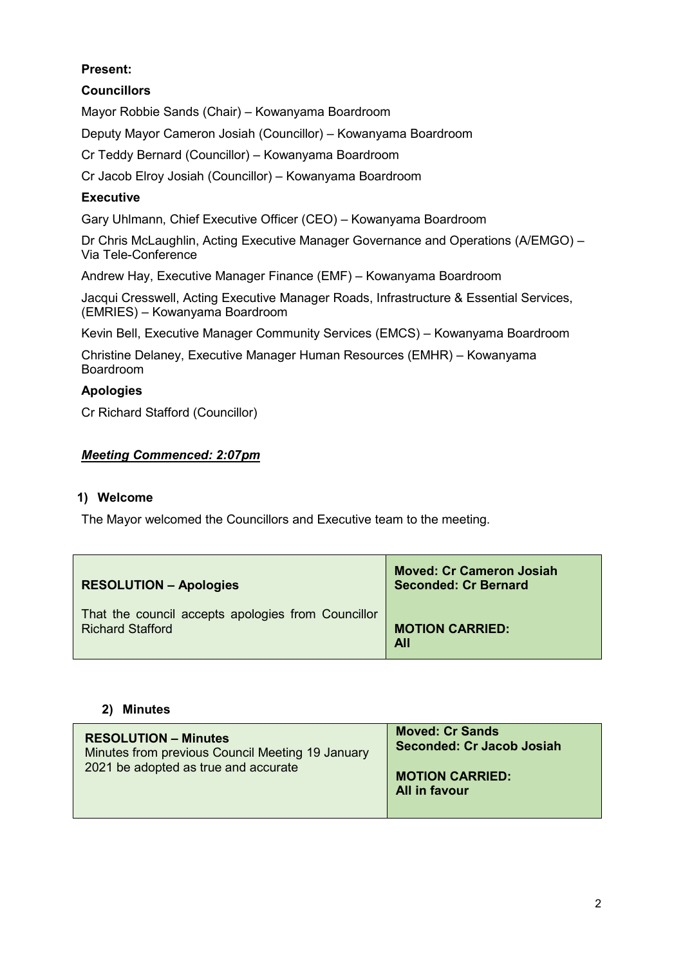# **Present:**

# **Councillors**

Mayor Robbie Sands (Chair) – Kowanyama Boardroom

Deputy Mayor Cameron Josiah (Councillor) – Kowanyama Boardroom

Cr Teddy Bernard (Councillor) – Kowanyama Boardroom

Cr Jacob Elroy Josiah (Councillor) – Kowanyama Boardroom

# **Executive**

Gary Uhlmann, Chief Executive Officer (CEO) – Kowanyama Boardroom

Dr Chris McLaughlin, Acting Executive Manager Governance and Operations (A/EMGO) – Via Tele-Conference

Andrew Hay, Executive Manager Finance (EMF) – Kowanyama Boardroom

Jacqui Cresswell, Acting Executive Manager Roads, Infrastructure & Essential Services, (EMRIES) – Kowanyama Boardroom

Kevin Bell, Executive Manager Community Services (EMCS) – Kowanyama Boardroom

Christine Delaney, Executive Manager Human Resources (EMHR) – Kowanyama Boardroom

# **Apologies**

Cr Richard Stafford (Councillor)

# *Meeting Commenced: 2:07pm*

# **1) Welcome**

The Mayor welcomed the Councillors and Executive team to the meeting.

| <b>RESOLUTION - Apologies</b>                      | <b>Moved: Cr Cameron Josiah</b><br><b>Seconded: Cr Bernard</b> |
|----------------------------------------------------|----------------------------------------------------------------|
| That the council accepts apologies from Councillor | <b>MOTION CARRIED:</b>                                         |
| <b>Richard Stafford</b>                            | <b>All</b>                                                     |

### **2) Minutes**

| <b>RESOLUTION - Minutes</b><br>Minutes from previous Council Meeting 19 January<br>2021 be adopted as true and accurate | <b>Moved: Cr Sands</b><br>Seconded: Cr Jacob Josiah<br><b>MOTION CARRIED:</b><br><b>All in favour</b> |
|-------------------------------------------------------------------------------------------------------------------------|-------------------------------------------------------------------------------------------------------|
|                                                                                                                         |                                                                                                       |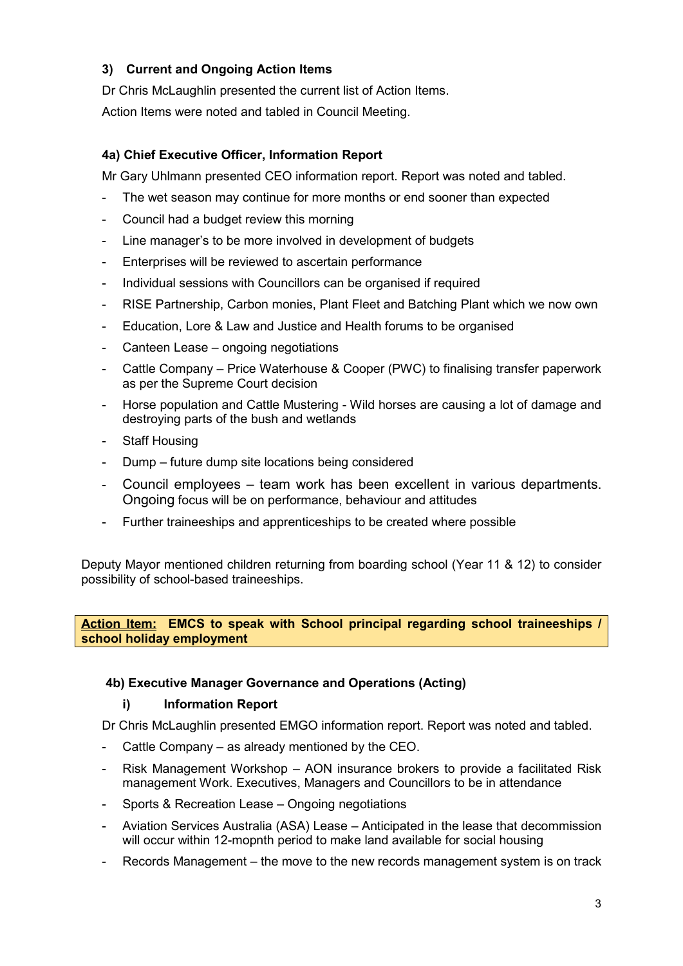# **3) Current and Ongoing Action Items**

Dr Chris McLaughlin presented the current list of Action Items. Action Items were noted and tabled in Council Meeting.

# **4a) Chief Executive Officer, Information Report**

Mr Gary Uhlmann presented CEO information report. Report was noted and tabled.

- The wet season may continue for more months or end sooner than expected
- Council had a budget review this morning
- Line manager's to be more involved in development of budgets
- Enterprises will be reviewed to ascertain performance
- Individual sessions with Councillors can be organised if required
- RISE Partnership, Carbon monies, Plant Fleet and Batching Plant which we now own
- Education, Lore & Law and Justice and Health forums to be organised
- Canteen Lease ongoing negotiations
- Cattle Company Price Waterhouse & Cooper (PWC) to finalising transfer paperwork as per the Supreme Court decision
- Horse population and Cattle Mustering Wild horses are causing a lot of damage and destroying parts of the bush and wetlands
- Staff Housing
- Dump future dump site locations being considered
- Council employees team work has been excellent in various departments. Ongoing focus will be on performance, behaviour and attitudes
- Further traineeships and apprenticeships to be created where possible

Deputy Mayor mentioned children returning from boarding school (Year 11 & 12) to consider possibility of school-based traineeships.

**Action Item: EMCS to speak with School principal regarding school traineeships / school holiday employment**

# **4b) Executive Manager Governance and Operations (Acting)**

### **i) Information Report**

Dr Chris McLaughlin presented EMGO information report. Report was noted and tabled.

- Cattle Company as already mentioned by the CEO.
- Risk Management Workshop AON insurance brokers to provide a facilitated Risk management Work. Executives, Managers and Councillors to be in attendance
- Sports & Recreation Lease Ongoing negotiations
- Aviation Services Australia (ASA) Lease Anticipated in the lease that decommission will occur within 12-mopnth period to make land available for social housing
- Records Management the move to the new records management system is on track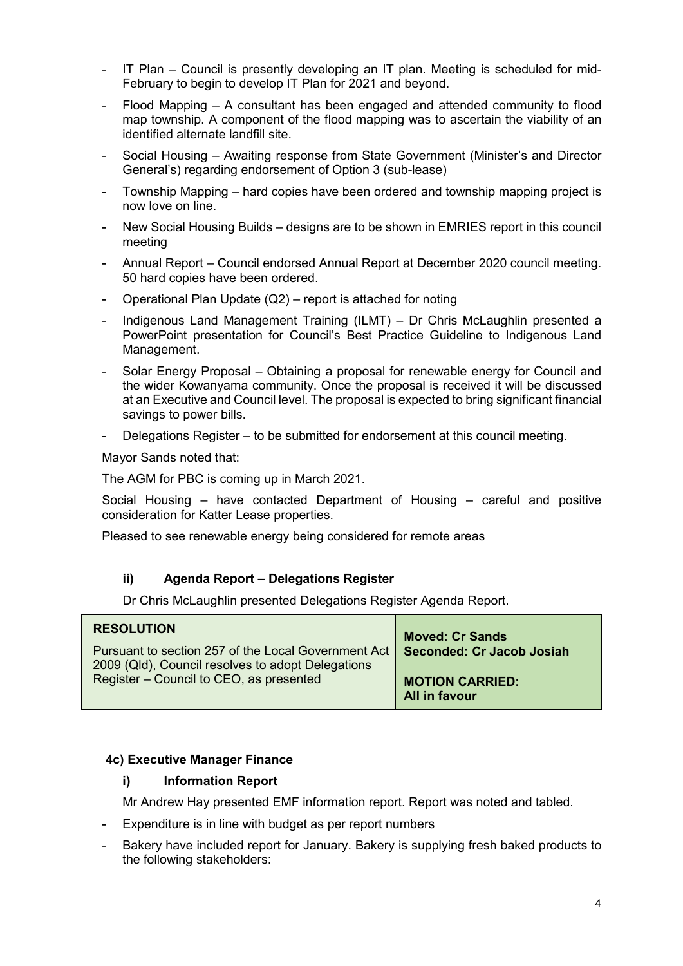- IT Plan Council is presently developing an IT plan. Meeting is scheduled for mid-February to begin to develop IT Plan for 2021 and beyond.
- Flood Mapping A consultant has been engaged and attended community to flood map township. A component of the flood mapping was to ascertain the viability of an identified alternate landfill site.
- Social Housing Awaiting response from State Government (Minister's and Director General's) regarding endorsement of Option 3 (sub-lease)
- Township Mapping hard copies have been ordered and township mapping project is now love on line.
- New Social Housing Builds designs are to be shown in EMRIES report in this council meeting
- Annual Report Council endorsed Annual Report at December 2020 council meeting. 50 hard copies have been ordered.
- Operational Plan Update (Q2) report is attached for noting
- Indigenous Land Management Training (ILMT) Dr Chris McLaughlin presented a PowerPoint presentation for Council's Best Practice Guideline to Indigenous Land Management.
- Solar Energy Proposal Obtaining a proposal for renewable energy for Council and the wider Kowanyama community. Once the proposal is received it will be discussed at an Executive and Council level. The proposal is expected to bring significant financial savings to power bills.
- Delegations Register to be submitted for endorsement at this council meeting.

Mayor Sands noted that:

The AGM for PBC is coming up in March 2021.

Social Housing – have contacted Department of Housing – careful and positive consideration for Katter Lease properties.

Pleased to see renewable energy being considered for remote areas

### **ii) Agenda Report – Delegations Register**

Dr Chris McLaughlin presented Delegations Register Agenda Report.

| <b>RESOLUTION</b>                                                                            | <b>Moved: Cr Sands</b>    |
|----------------------------------------------------------------------------------------------|---------------------------|
| Pursuant to section 257 of the Local Government Act                                          | Seconded: Cr Jacob Josiah |
| 2009 (Qld), Council resolves to adopt Delegations<br>Register - Council to CEO, as presented | <b>MOTION CARRIED:</b>    |
|                                                                                              | All in favour             |

### **4c) Executive Manager Finance**

#### **i) Information Report**

Mr Andrew Hay presented EMF information report. Report was noted and tabled.

- Expenditure is in line with budget as per report numbers
- Bakery have included report for January. Bakery is supplying fresh baked products to the following stakeholders: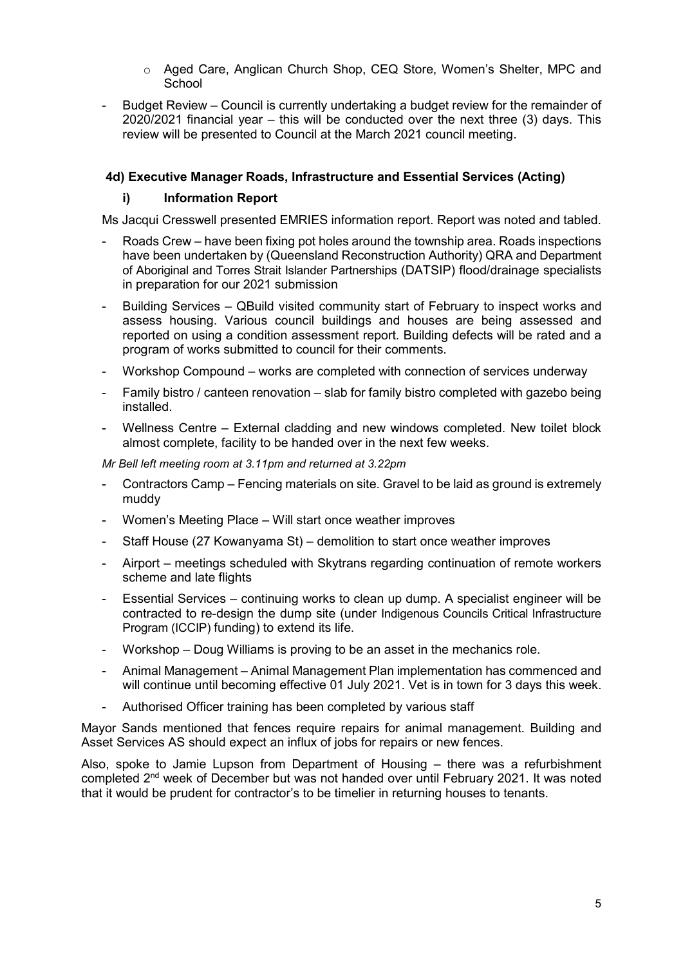- o Aged Care, Anglican Church Shop, CEQ Store, Women's Shelter, MPC and **School**
- Budget Review Council is currently undertaking a budget review for the remainder of 2020/2021 financial year – this will be conducted over the next three (3) days. This review will be presented to Council at the March 2021 council meeting.

### **4d) Executive Manager Roads, Infrastructure and Essential Services (Acting)**

### **i) Information Report**

Ms Jacqui Cresswell presented EMRIES information report. Report was noted and tabled.

- Roads Crew have been fixing pot holes around the township area. Roads inspections have been undertaken by (Queensland Reconstruction Authority) QRA and Department of Aboriginal and Torres Strait Islander Partnerships (DATSIP) flood/drainage specialists in preparation for our 2021 submission
- Building Services QBuild visited community start of February to inspect works and assess housing. Various council buildings and houses are being assessed and reported on using a condition assessment report. Building defects will be rated and a program of works submitted to council for their comments.
- Workshop Compound works are completed with connection of services underway
- Family bistro / canteen renovation slab for family bistro completed with gazebo being installed.
- Wellness Centre External cladding and new windows completed. New toilet block almost complete, facility to be handed over in the next few weeks.

*Mr Bell left meeting room at 3.11pm and returned at 3.22pm*

- Contractors Camp Fencing materials on site. Gravel to be laid as ground is extremely muddy
- Women's Meeting Place Will start once weather improves
- Staff House (27 Kowanyama St) demolition to start once weather improves
- Airport meetings scheduled with Skytrans regarding continuation of remote workers scheme and late flights
- Essential Services continuing works to clean up dump. A specialist engineer will be contracted to re-design the dump site (under Indigenous Councils Critical Infrastructure Program (ICCIP) funding) to extend its life.
- Workshop Doug Williams is proving to be an asset in the mechanics role.
- Animal Management Animal Management Plan implementation has commenced and will continue until becoming effective 01 July 2021. Vet is in town for 3 days this week.
- Authorised Officer training has been completed by various staff

Mayor Sands mentioned that fences require repairs for animal management. Building and Asset Services AS should expect an influx of jobs for repairs or new fences.

Also, spoke to Jamie Lupson from Department of Housing – there was a refurbishment completed 2nd week of December but was not handed over until February 2021. It was noted that it would be prudent for contractor's to be timelier in returning houses to tenants.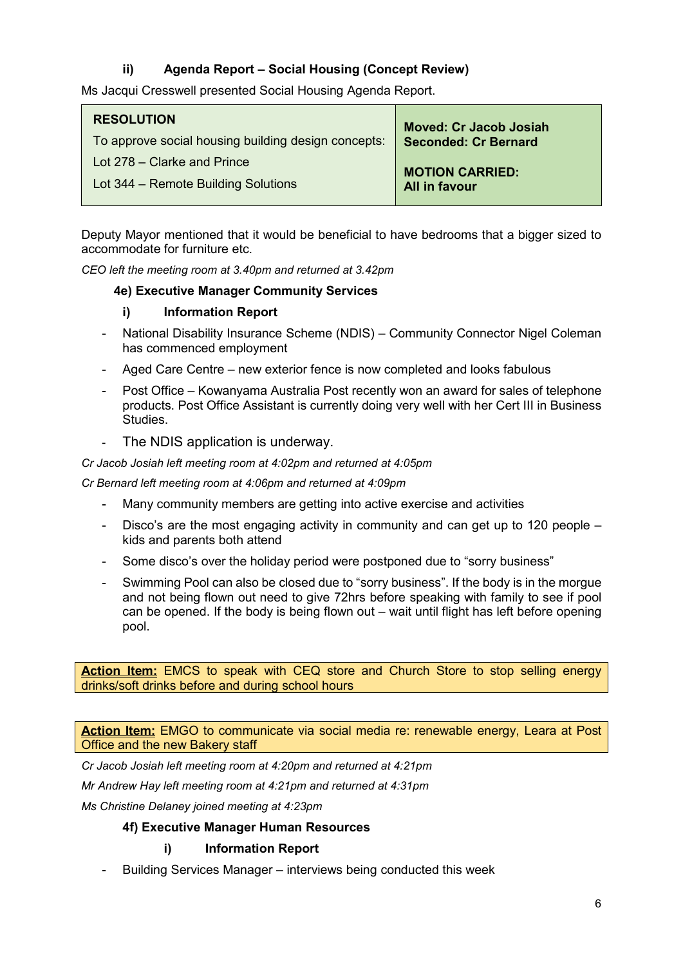# **ii) Agenda Report – Social Housing (Concept Review)**

Ms Jacqui Cresswell presented Social Housing Agenda Report.

| <b>RESOLUTION</b>                                   | <b>Moved: Cr Jacob Josiah</b> |
|-----------------------------------------------------|-------------------------------|
| To approve social housing building design concepts: | <b>Seconded: Cr Bernard</b>   |
| Lot 278 – Clarke and Prince                         | <b>MOTION CARRIED:</b>        |
| Lot 344 – Remote Building Solutions                 | <b>All in favour</b>          |

Deputy Mayor mentioned that it would be beneficial to have bedrooms that a bigger sized to accommodate for furniture etc.

*CEO left the meeting room at 3.40pm and returned at 3.42pm*

### **4e) Executive Manager Community Services**

### **i) Information Report**

- National Disability Insurance Scheme (NDIS) Community Connector Nigel Coleman has commenced employment
- Aged Care Centre new exterior fence is now completed and looks fabulous
- Post Office Kowanyama Australia Post recently won an award for sales of telephone products. Post Office Assistant is currently doing very well with her Cert III in Business Studies.
- The NDIS application is underway.

### *Cr Jacob Josiah left meeting room at 4:02pm and returned at 4:05pm*

*Cr Bernard left meeting room at 4:06pm and returned at 4:09pm*

- Many community members are getting into active exercise and activities
- Disco's are the most engaging activity in community and can get up to 120 people kids and parents both attend
- Some disco's over the holiday period were postponed due to "sorry business"
- Swimming Pool can also be closed due to "sorry business". If the body is in the morgue and not being flown out need to give 72hrs before speaking with family to see if pool can be opened. If the body is being flown out – wait until flight has left before opening pool.

**Action Item:** EMCS to speak with CEQ store and Church Store to stop selling energy drinks/soft drinks before and during school hours

**Action Item:** EMGO to communicate via social media re: renewable energy, Leara at Post Office and the new Bakery staff

*Cr Jacob Josiah left meeting room at 4:20pm and returned at 4:21pm*

*Mr Andrew Hay left meeting room at 4:21pm and returned at 4:31pm*

*Ms Christine Delaney joined meeting at 4:23pm*

# **4f) Executive Manager Human Resources**

# **i) Information Report**

- Building Services Manager – interviews being conducted this week